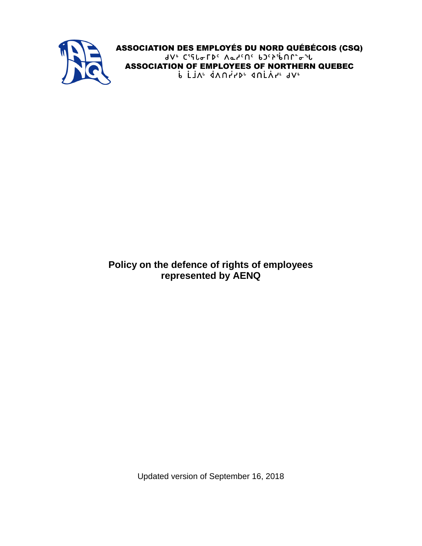

**ASSOCIATION DES EMPLOYÉS DU NORD QUÉBÉCOIS (CSQ)** JV<sup>6</sup> CSSLOFD<sup>c</sup> Aarcnc bJcASbnn<sup>o</sup>c<sup>3</sup>L **ASSOCIATION OF EMPLOYEES OF NORTHERN QUEBEC** P FIV 4VULLA dUFYL 9A

# **Policy on the defence of rights of employees represented by AENQ**

Updated version of September 16, 2018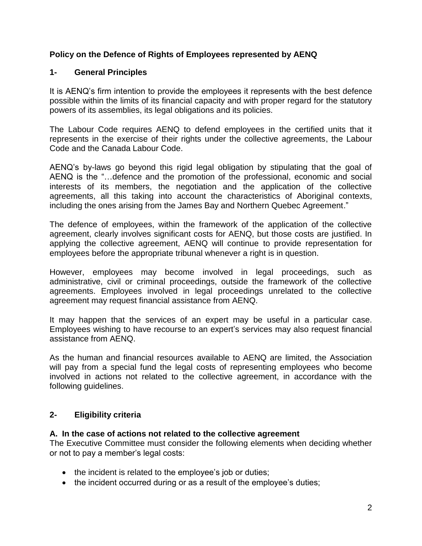## **Policy on the Defence of Rights of Employees represented by AENQ**

## **1- General Principles**

It is AENQ's firm intention to provide the employees it represents with the best defence possible within the limits of its financial capacity and with proper regard for the statutory powers of its assemblies, its legal obligations and its policies.

The Labour Code requires AENQ to defend employees in the certified units that it represents in the exercise of their rights under the collective agreements, the Labour Code and the Canada Labour Code.

AENQ's by-laws go beyond this rigid legal obligation by stipulating that the goal of AENQ is the "…defence and the promotion of the professional, economic and social interests of its members, the negotiation and the application of the collective agreements, all this taking into account the characteristics of Aboriginal contexts, including the ones arising from the James Bay and Northern Quebec Agreement."

The defence of employees, within the framework of the application of the collective agreement, clearly involves significant costs for AENQ, but those costs are justified. In applying the collective agreement, AENQ will continue to provide representation for employees before the appropriate tribunal whenever a right is in question.

However, employees may become involved in legal proceedings, such as administrative, civil or criminal proceedings, outside the framework of the collective agreements. Employees involved in legal proceedings unrelated to the collective agreement may request financial assistance from AENQ.

It may happen that the services of an expert may be useful in a particular case. Employees wishing to have recourse to an expert's services may also request financial assistance from AENQ.

As the human and financial resources available to AENQ are limited, the Association will pay from a special fund the legal costs of representing employees who become involved in actions not related to the collective agreement, in accordance with the following guidelines.

## **2- Eligibility criteria**

#### **A. In the case of actions not related to the collective agreement**

The Executive Committee must consider the following elements when deciding whether or not to pay a member's legal costs:

- the incident is related to the employee's job or duties;
- the incident occurred during or as a result of the employee's duties;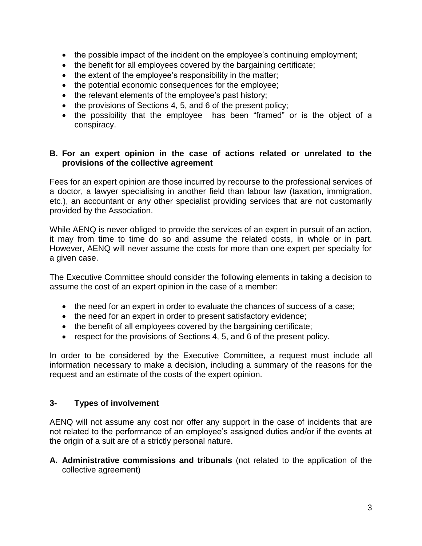- the possible impact of the incident on the employee's continuing employment;
- the benefit for all employees covered by the bargaining certificate;
- the extent of the employee's responsibility in the matter;
- the potential economic consequences for the employee;
- the relevant elements of the employee's past history;
- $\bullet$  the provisions of Sections 4, 5, and 6 of the present policy;
- the possibility that the employee has been "framed" or is the object of a conspiracy.

#### **B. For an expert opinion in the case of actions related or unrelated to the provisions of the collective agreement**

Fees for an expert opinion are those incurred by recourse to the professional services of a doctor, a lawyer specialising in another field than labour law (taxation, immigration, etc.), an accountant or any other specialist providing services that are not customarily provided by the Association.

While AENQ is never obliged to provide the services of an expert in pursuit of an action, it may from time to time do so and assume the related costs, in whole or in part. However, AENQ will never assume the costs for more than one expert per specialty for a given case.

The Executive Committee should consider the following elements in taking a decision to assume the cost of an expert opinion in the case of a member:

- the need for an expert in order to evaluate the chances of success of a case;
- the need for an expert in order to present satisfactory evidence;
- the benefit of all employees covered by the bargaining certificate;
- respect for the provisions of Sections 4, 5, and 6 of the present policy.

In order to be considered by the Executive Committee, a request must include all information necessary to make a decision, including a summary of the reasons for the request and an estimate of the costs of the expert opinion.

## **3- Types of involvement**

AENQ will not assume any cost nor offer any support in the case of incidents that are not related to the performance of an employee's assigned duties and/or if the events at the origin of a suit are of a strictly personal nature.

**A. Administrative commissions and tribunals** (not related to the application of the collective agreement)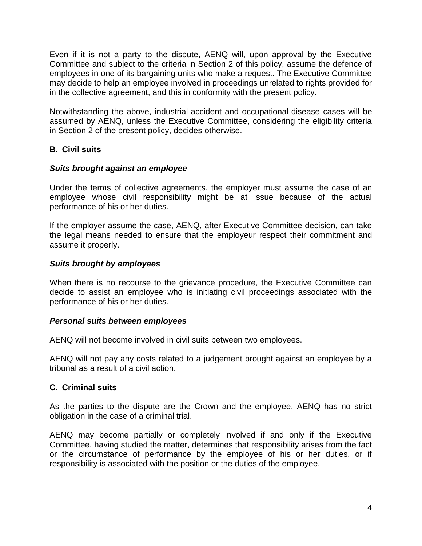Even if it is not a party to the dispute, AENQ will, upon approval by the Executive Committee and subject to the criteria in Section 2 of this policy, assume the defence of employees in one of its bargaining units who make a request. The Executive Committee may decide to help an employee involved in proceedings unrelated to rights provided for in the collective agreement, and this in conformity with the present policy.

Notwithstanding the above, industrial-accident and occupational-disease cases will be assumed by AENQ, unless the Executive Committee, considering the eligibility criteria in Section 2 of the present policy, decides otherwise.

## **B. Civil suits**

#### *Suits brought against an employee*

Under the terms of collective agreements, the employer must assume the case of an employee whose civil responsibility might be at issue because of the actual performance of his or her duties.

If the employer assume the case, AENQ, after Executive Committee decision, can take the legal means needed to ensure that the employeur respect their commitment and assume it properly.

### *Suits brought by employees*

When there is no recourse to the grievance procedure, the Executive Committee can decide to assist an employee who is initiating civil proceedings associated with the performance of his or her duties.

#### *Personal suits between employees*

AENQ will not become involved in civil suits between two employees.

AENQ will not pay any costs related to a judgement brought against an employee by a tribunal as a result of a civil action.

#### **C. Criminal suits**

As the parties to the dispute are the Crown and the employee, AENQ has no strict obligation in the case of a criminal trial.

AENQ may become partially or completely involved if and only if the Executive Committee, having studied the matter, determines that responsibility arises from the fact or the circumstance of performance by the employee of his or her duties, or if responsibility is associated with the position or the duties of the employee.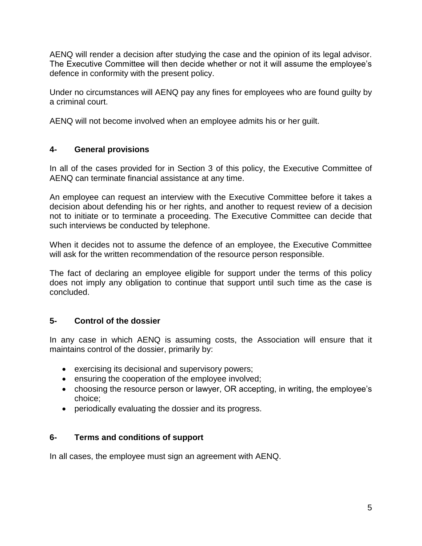AENQ will render a decision after studying the case and the opinion of its legal advisor. The Executive Committee will then decide whether or not it will assume the employee's defence in conformity with the present policy.

Under no circumstances will AENQ pay any fines for employees who are found guilty by a criminal court.

AENQ will not become involved when an employee admits his or her guilt.

## **4- General provisions**

In all of the cases provided for in Section 3 of this policy, the Executive Committee of AENQ can terminate financial assistance at any time.

An employee can request an interview with the Executive Committee before it takes a decision about defending his or her rights, and another to request review of a decision not to initiate or to terminate a proceeding. The Executive Committee can decide that such interviews be conducted by telephone.

When it decides not to assume the defence of an employee, the Executive Committee will ask for the written recommendation of the resource person responsible.

The fact of declaring an employee eligible for support under the terms of this policy does not imply any obligation to continue that support until such time as the case is concluded.

## **5- Control of the dossier**

In any case in which AENQ is assuming costs, the Association will ensure that it maintains control of the dossier, primarily by:

- exercising its decisional and supervisory powers;
- **e** ensuring the cooperation of the employee involved;
- choosing the resource person or lawyer, OR accepting, in writing, the employee's choice;
- periodically evaluating the dossier and its progress.

## **6- Terms and conditions of support**

In all cases, the employee must sign an agreement with AENQ.